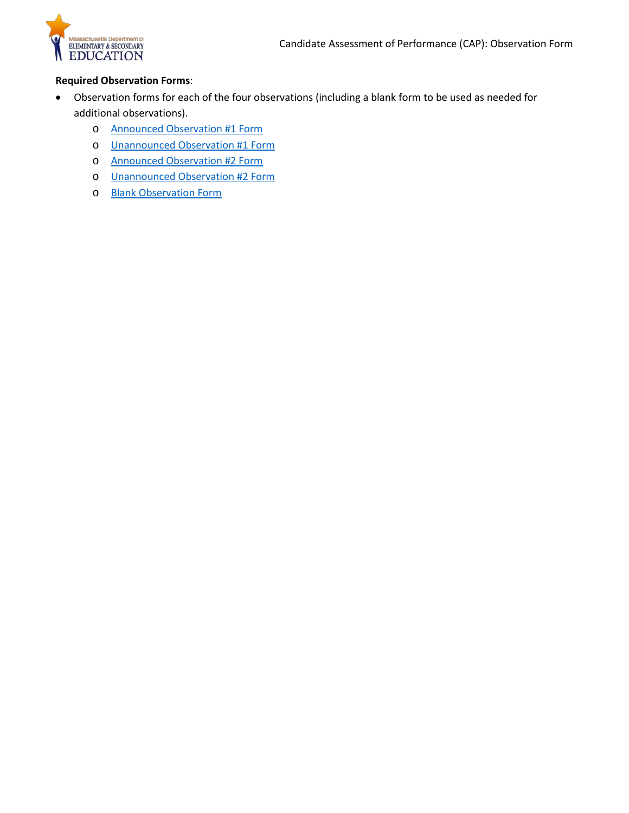

#### **Required Observation Forms**:

- Observation forms for each of the four observations (including a blank form to be used as needed for additional observations).
	- o [Announced Observation #1 Form](#page-2-0)
	- o [Unannounced Observation #1 Form](#page-3-0)
	- o [Announced Observation #2 Form](#page-4-0)
	- o [Unannounced Observation #2 Form](#page-5-0)
	- o Blank Observation Form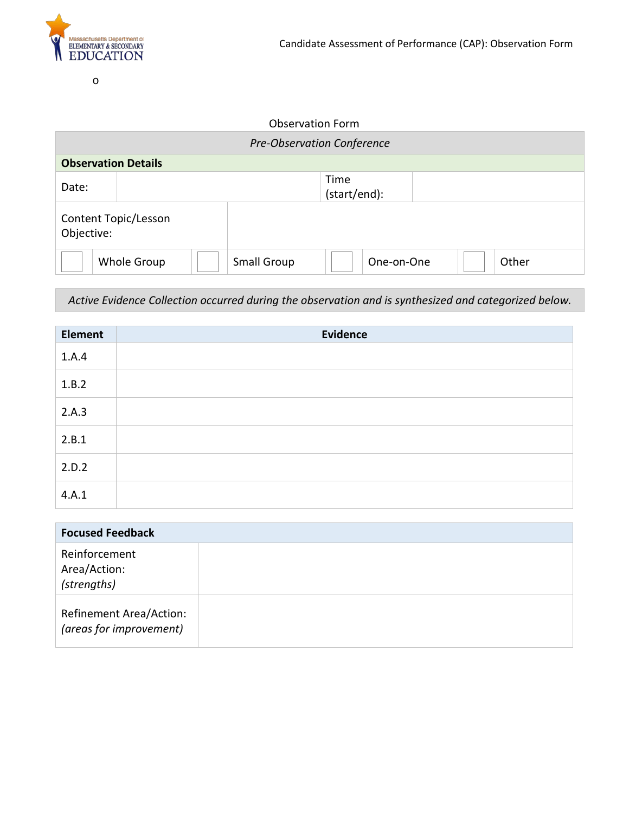

o

#### Observation Form

| <b>Pre-Observation Conference</b>                        |                            |  |                      |  |  |  |  |
|----------------------------------------------------------|----------------------------|--|----------------------|--|--|--|--|
|                                                          | <b>Observation Details</b> |  |                      |  |  |  |  |
| Date:                                                    |                            |  | Time<br>(start/end): |  |  |  |  |
| Content Topic/Lesson<br>Objective:                       |                            |  |                      |  |  |  |  |
| Other<br>Whole Group<br><b>Small Group</b><br>One-on-One |                            |  |                      |  |  |  |  |

*Active Evidence Collection occurred during the observation and is synthesized and categorized below.*

| <b>Element</b> | Evidence |
|----------------|----------|
| 1.A.4          |          |
| 1.B.2          |          |
| 2.A.3          |          |
| 2.B.1          |          |
| 2.D.2          |          |
| 4.A.1          |          |

| <b>Focused Feedback</b>                                   |  |
|-----------------------------------------------------------|--|
| Reinforcement<br>Area/Action:<br>(strengths)              |  |
| <b>Refinement Area/Action:</b><br>(areas for improvement) |  |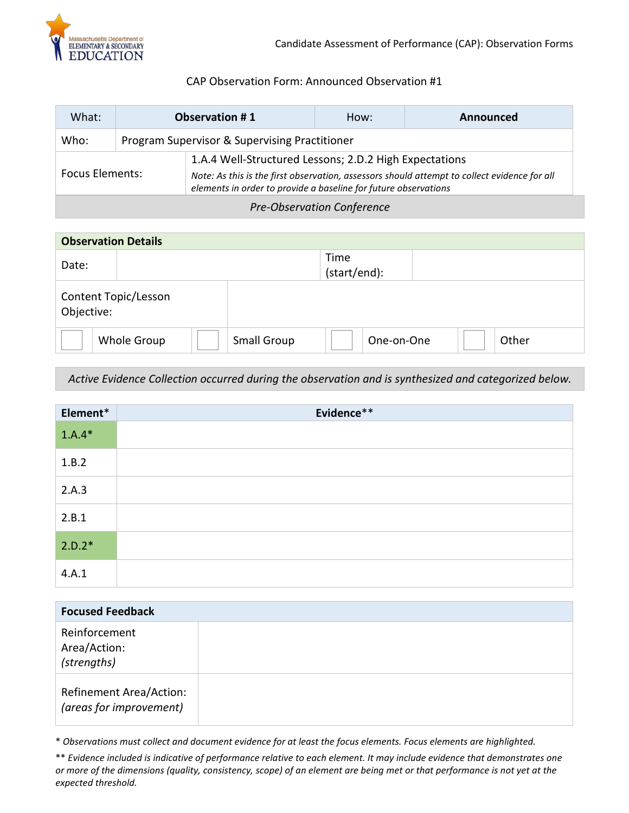

### CAP Observation Form: Announced Observation #1

<span id="page-2-0"></span>

| What:                             | <b>Observation #1</b>                         |                                                                                                                                                                                                                           | How: | Announced |
|-----------------------------------|-----------------------------------------------|---------------------------------------------------------------------------------------------------------------------------------------------------------------------------------------------------------------------------|------|-----------|
| Who:                              | Program Supervisor & Supervising Practitioner |                                                                                                                                                                                                                           |      |           |
| <b>Focus Elements:</b>            |                                               | 1.A.4 Well-Structured Lessons; 2.D.2 High Expectations<br>Note: As this is the first observation, assessors should attempt to collect evidence for all<br>elements in order to provide a baseline for future observations |      |           |
| <b>Pre-Observation Conference</b> |                                               |                                                                                                                                                                                                                           |      |           |

| <b>Observation Details</b>         |             |                    |                      |       |  |
|------------------------------------|-------------|--------------------|----------------------|-------|--|
| Date:                              |             |                    | Time<br>(start/end): |       |  |
| Content Topic/Lesson<br>Objective: |             |                    |                      |       |  |
|                                    | Whole Group | <b>Small Group</b> | One-on-One           | Other |  |

*Active Evidence Collection occurred during the observation and is synthesized and categorized below.*

| Element* | Evidence** |
|----------|------------|
| $1.A.4*$ |            |
| 1.B.2    |            |
| 2.A.3    |            |
| 2.B.1    |            |
| $2.D.2*$ |            |
| 4.A.1    |            |

| <b>Focused Feedback</b>                                   |  |
|-----------------------------------------------------------|--|
| Reinforcement<br>Area/Action:<br>(strengths)              |  |
| <b>Refinement Area/Action:</b><br>(areas for improvement) |  |

\* *Observations must collect and document evidence for at least the focus elements. Focus elements are highlighted.*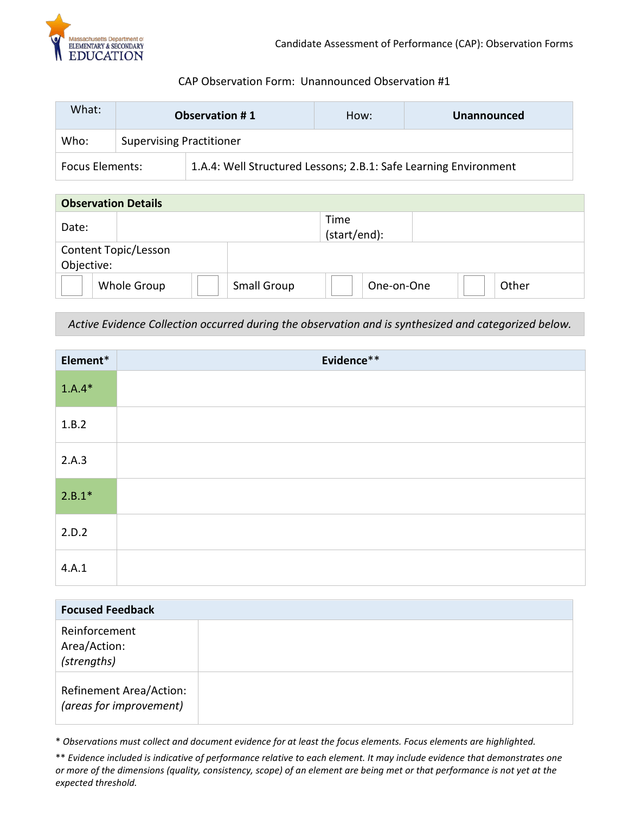

### CAP Observation Form: Unannounced Observation #1

<span id="page-3-0"></span>

| What:                  | <b>Observation #1</b>           |                                                                  | How: | <b>Unannounced</b> |  |
|------------------------|---------------------------------|------------------------------------------------------------------|------|--------------------|--|
| Who:                   | <b>Supervising Practitioner</b> |                                                                  |      |                    |  |
| <b>Focus Elements:</b> |                                 | 1.A.4: Well Structured Lessons; 2.B.1: Safe Learning Environment |      |                    |  |

| <b>Observation Details</b> |                                    |  |                    |                      |            |       |
|----------------------------|------------------------------------|--|--------------------|----------------------|------------|-------|
| Date:                      |                                    |  |                    | Time<br>(start/end): |            |       |
|                            | Content Topic/Lesson<br>Objective: |  |                    |                      |            |       |
|                            | Whole Group                        |  | <b>Small Group</b> |                      | One-on-One | Other |

*Active Evidence Collection occurred during the observation and is synthesized and categorized below.*

| Element* | Evidence** |
|----------|------------|
| $1.A.4*$ |            |
| 1.B.2    |            |
| 2.A.3    |            |
| $2.B.1*$ |            |
| 2.D.2    |            |
| 4.A.1    |            |

| <b>Focused Feedback</b>                            |  |
|----------------------------------------------------|--|
| Reinforcement<br>Area/Action:<br>(strengths)       |  |
| Refinement Area/Action:<br>(areas for improvement) |  |

\* *Observations must collect and document evidence for at least the focus elements. Focus elements are highlighted.*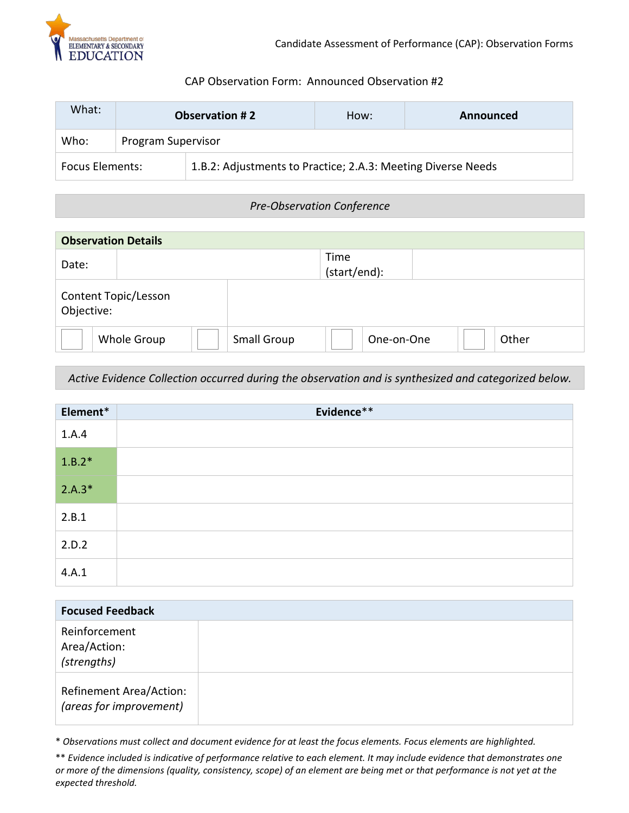

### CAP Observation Form: Announced Observation #2

<span id="page-4-0"></span>

| What:                  | <b>Observation #2</b> |                                                              | How: | Announced |
|------------------------|-----------------------|--------------------------------------------------------------|------|-----------|
| Who:                   |                       | Program Supervisor                                           |      |           |
| <b>Focus Elements:</b> |                       | 1.B.2: Adjustments to Practice; 2.A.3: Meeting Diverse Needs |      |           |

# *Pre-Observation Conference*

| <b>Observation Details</b>         |             |  |             |                      |            |  |       |
|------------------------------------|-------------|--|-------------|----------------------|------------|--|-------|
| Date:                              |             |  |             | Time<br>(start/end): |            |  |       |
| Content Topic/Lesson<br>Objective: |             |  |             |                      |            |  |       |
|                                    | Whole Group |  | Small Group |                      | One-on-One |  | Other |

*Active Evidence Collection occurred during the observation and is synthesized and categorized below.*

| Element* | Evidence** |
|----------|------------|
| 1.A.4    |            |
| $1.B.2*$ |            |
| $2.A.3*$ |            |
| 2.B.1    |            |
| 2.D.2    |            |
| 4.A.1    |            |

| <b>Focused Feedback</b>                                   |  |
|-----------------------------------------------------------|--|
| Reinforcement<br>Area/Action:<br>(strengths)              |  |
| <b>Refinement Area/Action:</b><br>(areas for improvement) |  |

\* *Observations must collect and document evidence for at least the focus elements. Focus elements are highlighted.* 

<sup>\*\*</sup> *Evidence included is indicative of performance relative to each element. It may include evidence that demonstrates one or more of the dimensions (quality, consistency, scope) of an element are being met or that performance is not yet at the expected threshold.*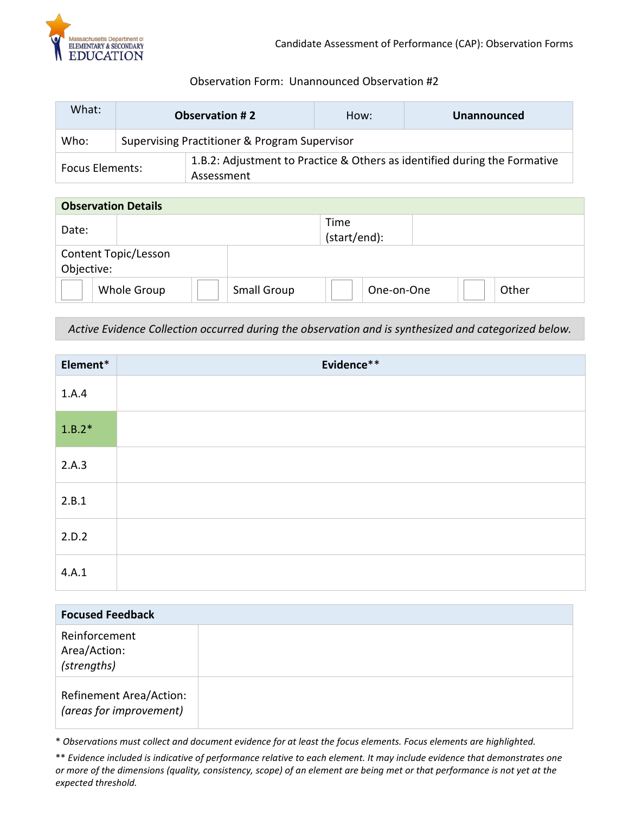

# Observation Form: Unannounced Observation #2

<span id="page-5-0"></span>

| What:                  | <b>Observation #2</b> |                                                                                         | How: | <b>Unannounced</b> |  |  |
|------------------------|-----------------------|-----------------------------------------------------------------------------------------|------|--------------------|--|--|
| Who:                   |                       | Supervising Practitioner & Program Supervisor                                           |      |                    |  |  |
| <b>Focus Elements:</b> |                       | 1.B.2: Adjustment to Practice & Others as identified during the Formative<br>Assessment |      |                    |  |  |

| <b>Observation Details</b>         |             |  |                    |                      |            |       |
|------------------------------------|-------------|--|--------------------|----------------------|------------|-------|
| Date:                              |             |  |                    | Time<br>(start/end): |            |       |
| Content Topic/Lesson<br>Objective: |             |  |                    |                      |            |       |
|                                    | Whole Group |  | <b>Small Group</b> |                      | One-on-One | Other |

*Active Evidence Collection occurred during the observation and is synthesized and categorized below.*

| Element* | Evidence** |
|----------|------------|
| 1.A.4    |            |
| $1.B.2*$ |            |
| 2.A.3    |            |
| 2.B.1    |            |
| 2.D.2    |            |
| 4.A.1    |            |

| <b>Focused Feedback</b>                                   |  |
|-----------------------------------------------------------|--|
| Reinforcement<br>Area/Action:<br>(strengths)              |  |
| <b>Refinement Area/Action:</b><br>(areas for improvement) |  |

\* *Observations must collect and document evidence for at least the focus elements. Focus elements are highlighted.*